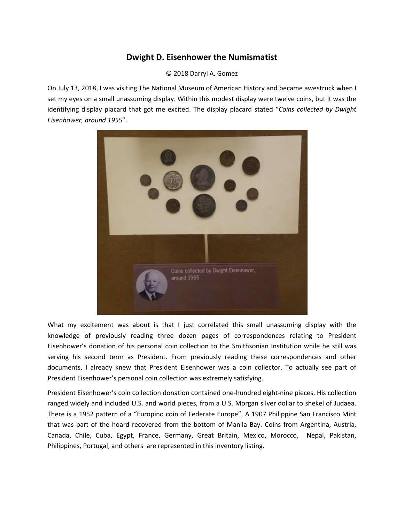## **Dwight D. Eisenhower the Numismatist**

© 2018 Darryl A. Gomez

On July 13, 2018, I was visiting The National Museum of American History and became awestruck when I set my eyes on a small unassuming display. Within this modest display were twelve coins, but it was the identifying display placard that got me excited. The display placard stated "*Coins collected by Dwight Eisenhower, around 1955*".



What my excitement was about is that I just correlated this small unassuming display with the knowledge of previously reading three dozen pages of correspondences relating to President Eisenhower's donation of his personal coin collection to the Smithsonian Institution while he still was serving his second term as President. From previously reading these correspondences and other documents, I already knew that President Eisenhower was a coin collector. To actually see part of President Eisenhower's personal coin collection was extremely satisfying.

President Eisenhower's coin collection donation contained one-hundred eight-nine pieces. His collection ranged widely and included U.S. and world pieces, from a U.S. Morgan silver dollar to shekel of Judaea. There is a 1952 pattern of a "Europino coin of Federate Europe". A 1907 Philippine San Francisco Mint that was part of the hoard recovered from the bottom of Manila Bay. Coins from Argentina, Austria, Canada, Chile, Cuba, Egypt, France, Germany, Great Britain, Mexico, Morocco, Nepal, Pakistan, Philippines, Portugal, and others are represented in this inventory listing.